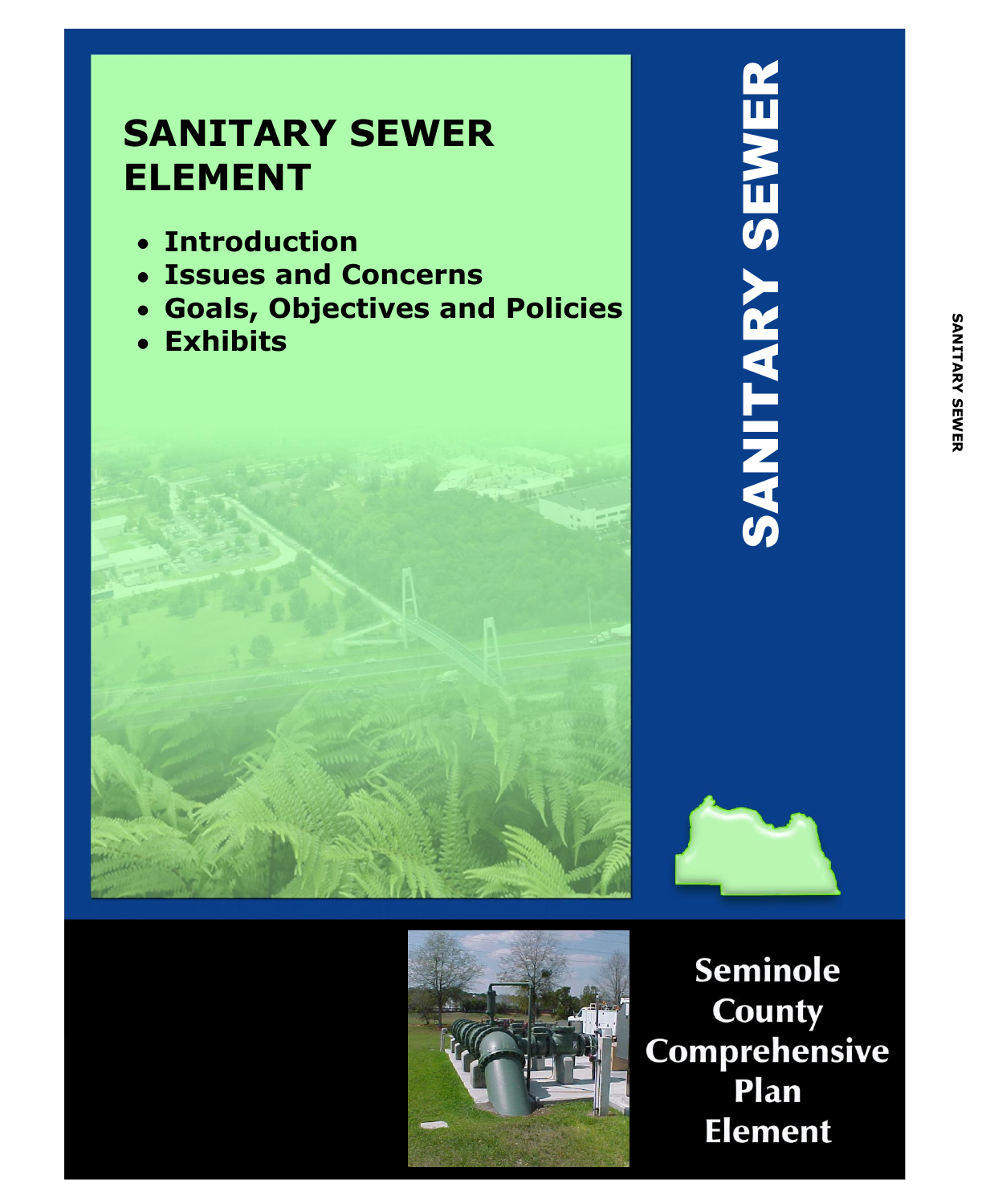# **SANITARY SEWER ELEMENT**

- **Introduction**
- **Issues and Concerns**
- **Goals, Objectives and Policies**
- **Exhibits**





**Seminole County** Comprehensive Plan **Element**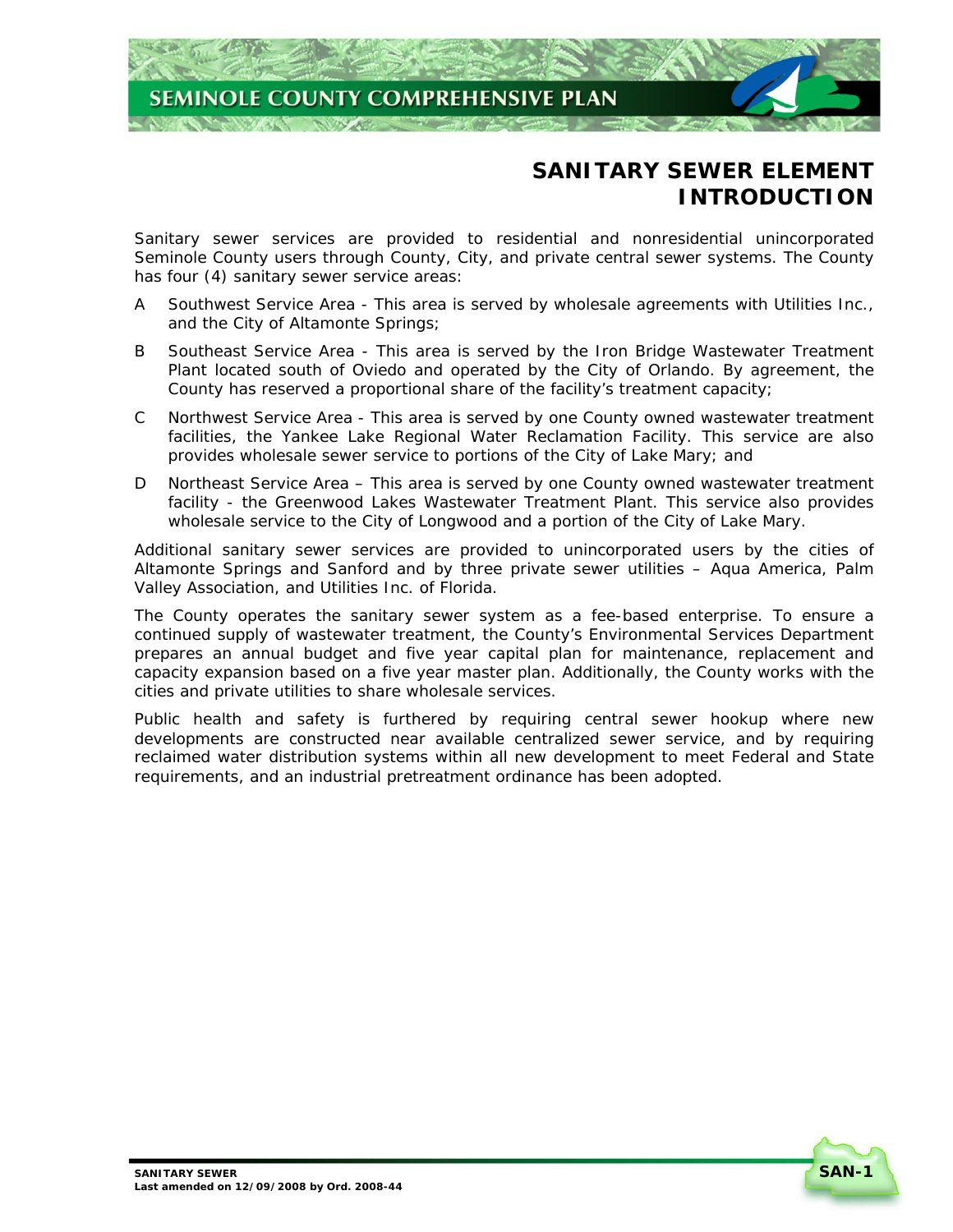# **SANITARY SEWER ELEMENT INTRODUCTION**

Sanitary sewer services are provided to residential and nonresidential unincorporated Seminole County users through County, City, and private central sewer systems. The County has four (4) sanitary sewer service areas:

- A Southwest Service Area This area is served by wholesale agreements with Utilities Inc., and the City of Altamonte Springs;
- B Southeast Service Area This area is served by the Iron Bridge Wastewater Treatment Plant located south of Oviedo and operated by the City of Orlando. By agreement, the County has reserved a proportional share of the facility's treatment capacity;
- C Northwest Service Area This area is served by one County owned wastewater treatment facilities, the Yankee Lake Regional Water Reclamation Facility. This service are also provides wholesale sewer service to portions of the City of Lake Mary; and
- D Northeast Service Area This area is served by one County owned wastewater treatment facility - the Greenwood Lakes Wastewater Treatment Plant. This service also provides wholesale service to the City of Longwood and a portion of the City of Lake Mary.

Additional sanitary sewer services are provided to unincorporated users by the cities of Altamonte Springs and Sanford and by three private sewer utilities – Aqua America, Palm Valley Association, and Utilities Inc. of Florida.

The County operates the sanitary sewer system as a fee-based enterprise. To ensure a continued supply of wastewater treatment, the County's Environmental Services Department prepares an annual budget and five year capital plan for maintenance, replacement and capacity expansion based on a five year master plan. Additionally, the County works with the cities and private utilities to share wholesale services.

Public health and safety is furthered by requiring central sewer hookup where new developments are constructed near available centralized sewer service, and by requiring reclaimed water distribution systems within all new development to meet Federal and State requirements, and an industrial pretreatment ordinance has been adopted.

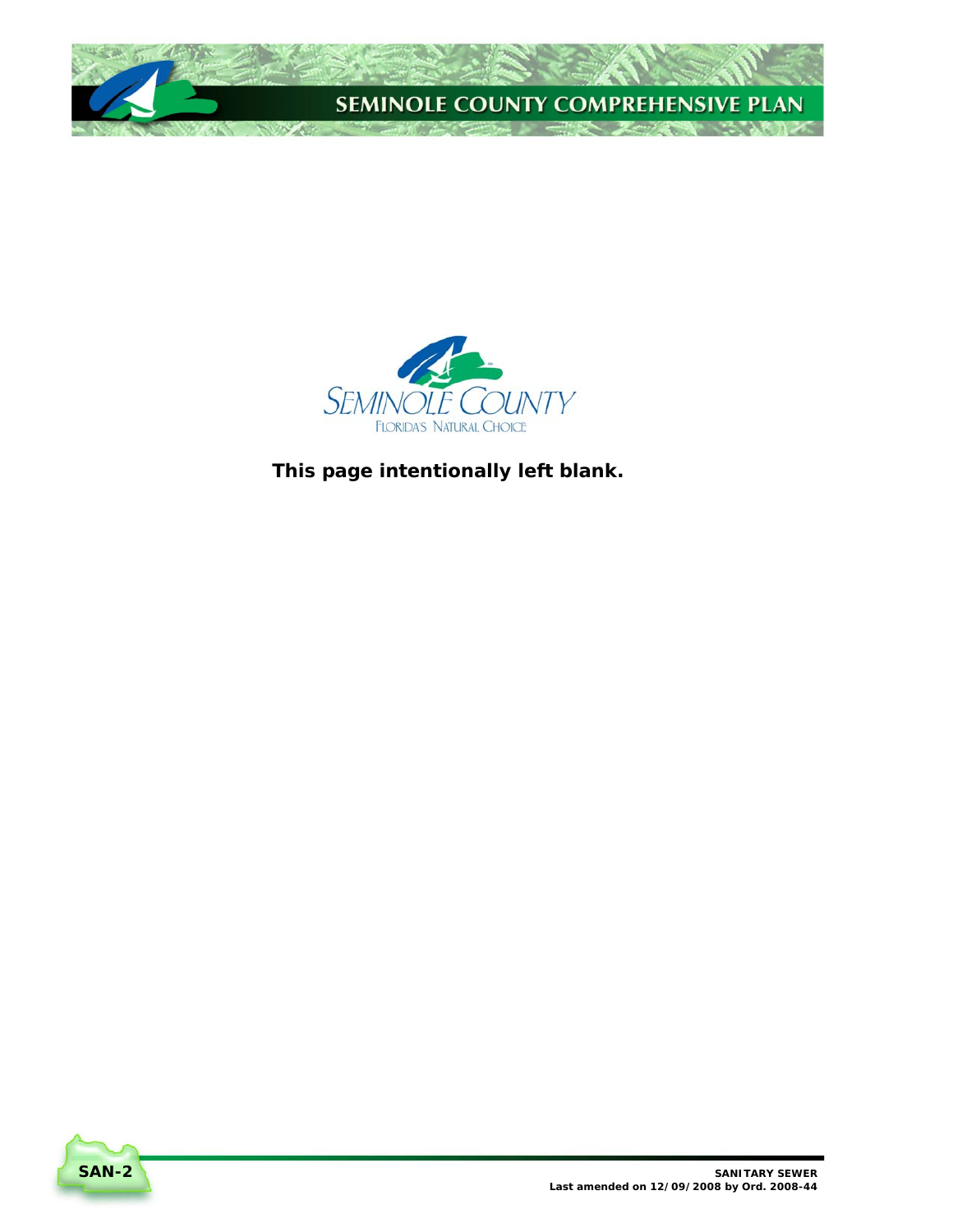



**This page intentionally left blank.** 

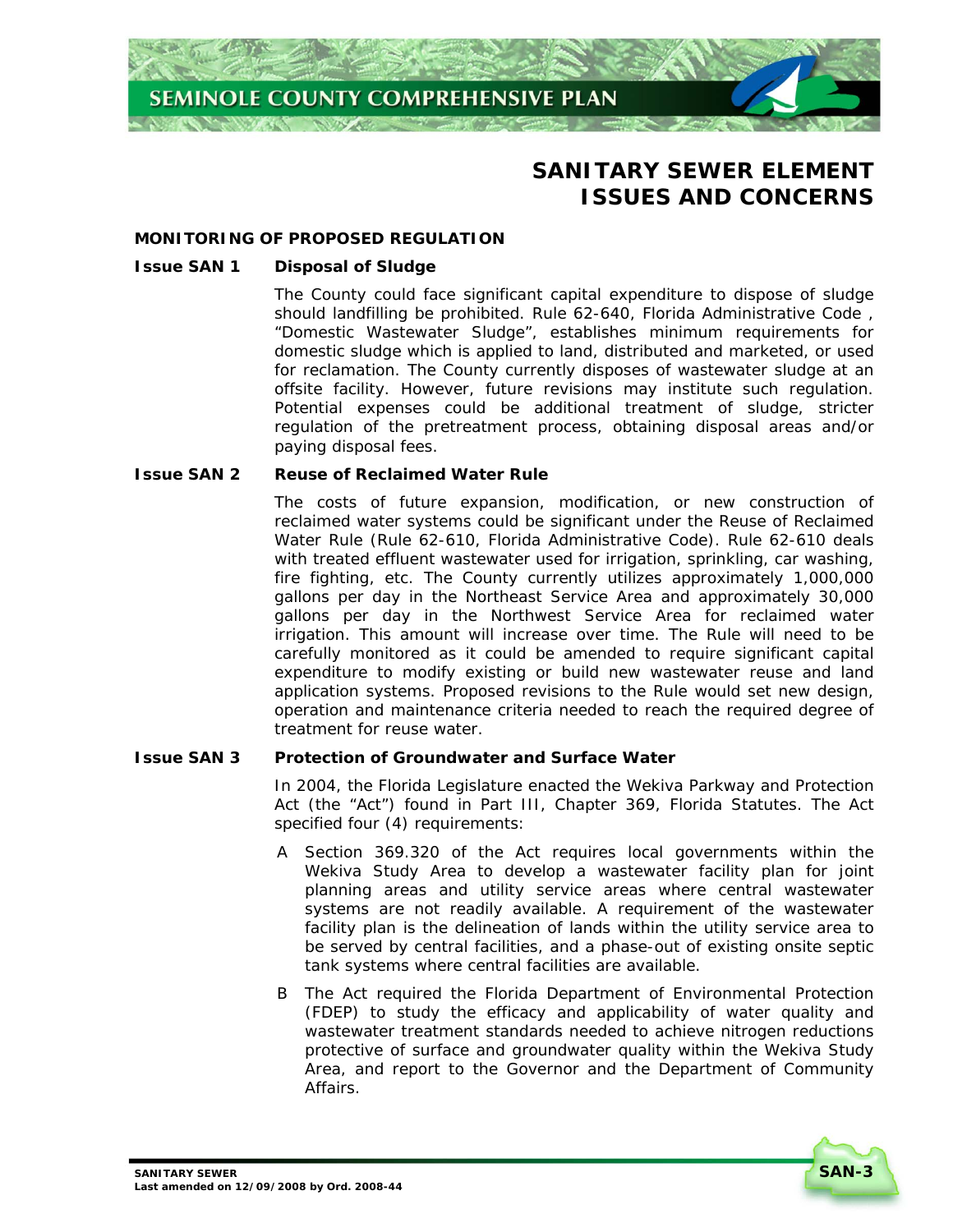# **SANITARY SEWER ELEMENT ISSUES AND CONCERNS**

#### **MONITORING OF PROPOSED REGULATION**

#### **Issue SAN 1 Disposal of Sludge**

The County could face significant capital expenditure to dispose of sludge should landfilling be prohibited. Rule 62-640, Florida Administrative Code , "Domestic Wastewater Sludge", establishes minimum requirements for domestic sludge which is applied to land, distributed and marketed, or used for reclamation. The County currently disposes of wastewater sludge at an offsite facility. However, future revisions may institute such regulation. Potential expenses could be additional treatment of sludge, stricter regulation of the pretreatment process, obtaining disposal areas and/or paying disposal fees.

#### **Issue SAN 2 Reuse of Reclaimed Water Rule**

The costs of future expansion, modification, or new construction of reclaimed water systems could be significant under the Reuse of Reclaimed Water Rule (Rule 62-610, Florida Administrative Code). Rule 62-610 deals with treated effluent wastewater used for irrigation, sprinkling, car washing, fire fighting, etc. The County currently utilizes approximately 1,000,000 gallons per day in the Northeast Service Area and approximately 30,000 gallons per day in the Northwest Service Area for reclaimed water irrigation. This amount will increase over time. The Rule will need to be carefully monitored as it could be amended to require significant capital expenditure to modify existing or build new wastewater reuse and land application systems. Proposed revisions to the Rule would set new design, operation and maintenance criteria needed to reach the required degree of treatment for reuse water.

#### **Issue SAN 3 Protection of Groundwater and Surface Water**

In 2004, the Florida Legislature enacted the Wekiva Parkway and Protection Act (the "Act") found in Part III, Chapter 369, Florida Statutes. The Act specified four (4) requirements:

- A Section 369.320 of the Act requires local governments within the Wekiva Study Area to develop a wastewater facility plan for joint planning areas and utility service areas where central wastewater systems are not readily available. A requirement of the wastewater facility plan is the delineation of lands within the utility service area to be served by central facilities, and a phase-out of existing onsite septic tank systems where central facilities are available.
- B The Act required the Florida Department of Environmental Protection (FDEP) to study the efficacy and applicability of water quality and wastewater treatment standards needed to achieve nitrogen reductions protective of surface and groundwater quality within the Wekiva Study Area, and report to the Governor and the Department of Community Affairs.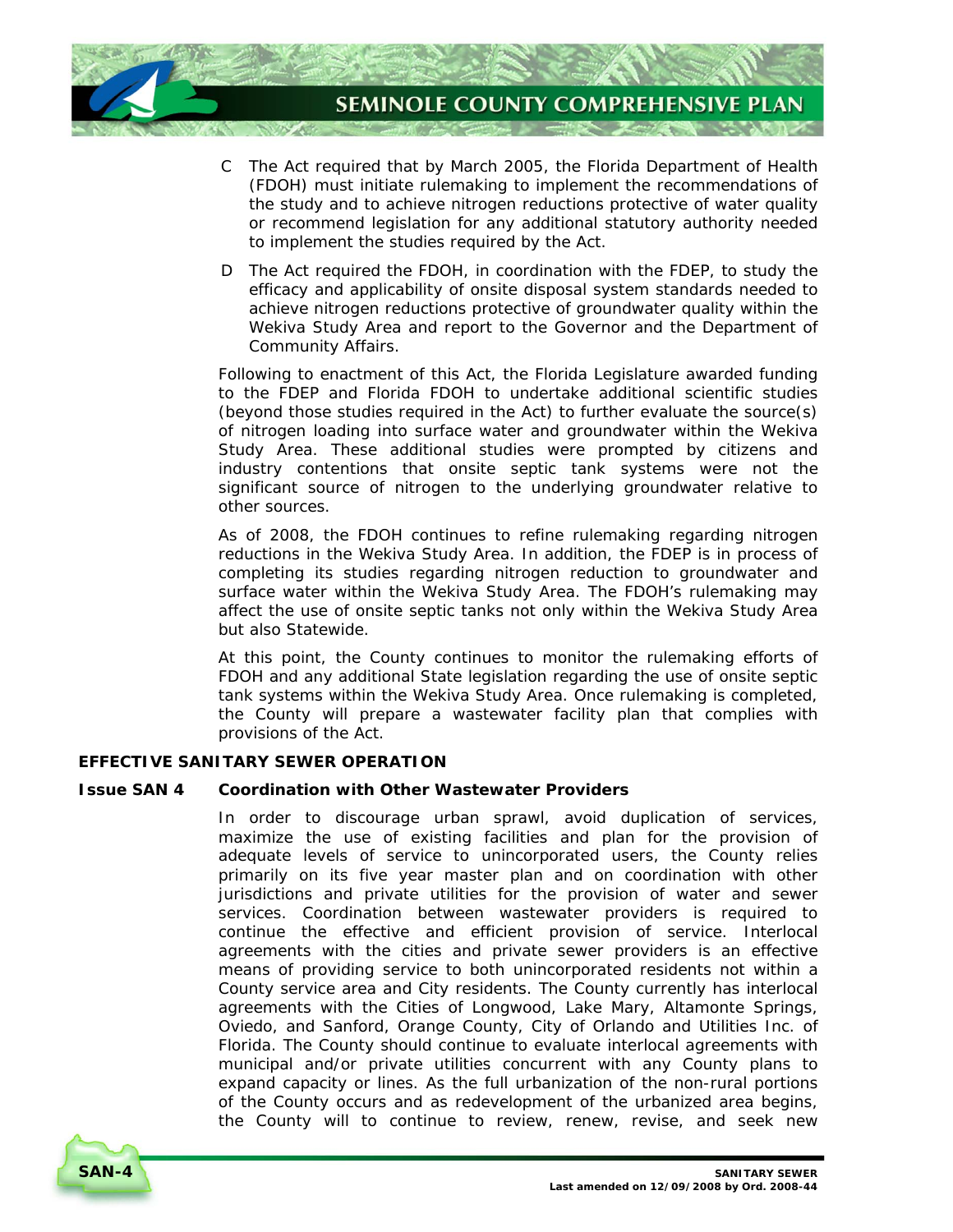

- C The Act required that by March 2005, the Florida Department of Health (FDOH) must initiate rulemaking to implement the recommendations of the study and to achieve nitrogen reductions protective of water quality or recommend legislation for any additional statutory authority needed to implement the studies required by the Act.
- D The Act required the FDOH, in coordination with the FDEP, to study the efficacy and applicability of onsite disposal system standards needed to achieve nitrogen reductions protective of groundwater quality within the Wekiva Study Area and report to the Governor and the Department of Community Affairs.

Following to enactment of this Act, the Florida Legislature awarded funding to the FDEP and Florida FDOH to undertake additional scientific studies (beyond those studies required in the Act) to further evaluate the source(s) of nitrogen loading into surface water and groundwater within the Wekiva Study Area. These additional studies were prompted by citizens and industry contentions that onsite septic tank systems were not the significant source of nitrogen to the underlying groundwater relative to other sources.

As of 2008, the FDOH continues to refine rulemaking regarding nitrogen reductions in the Wekiva Study Area. In addition, the FDEP is in process of completing its studies regarding nitrogen reduction to groundwater and surface water within the Wekiva Study Area. The FDOH's rulemaking may affect the use of onsite septic tanks not only within the Wekiva Study Area but also Statewide.

At this point, the County continues to monitor the rulemaking efforts of FDOH and any additional State legislation regarding the use of onsite septic tank systems within the Wekiva Study Area. Once rulemaking is completed, the County will prepare a wastewater facility plan that complies with provisions of the Act.

# **EFFECTIVE SANITARY SEWER OPERATION**

# **Issue SAN 4 Coordination with Other Wastewater Providers**

In order to discourage urban sprawl, avoid duplication of services, maximize the use of existing facilities and plan for the provision of adequate levels of service to unincorporated users, the County relies primarily on its five year master plan and on coordination with other jurisdictions and private utilities for the provision of water and sewer services. Coordination between wastewater providers is required to continue the effective and efficient provision of service. Interlocal agreements with the cities and private sewer providers is an effective means of providing service to both unincorporated residents not within a County service area and City residents. The County currently has interlocal agreements with the Cities of Longwood, Lake Mary, Altamonte Springs, Oviedo, and Sanford, Orange County, City of Orlando and Utilities Inc. of Florida. The County should continue to evaluate interlocal agreements with municipal and/or private utilities concurrent with any County plans to expand capacity or lines. As the full urbanization of the non-rural portions of the County occurs and as redevelopment of the urbanized area begins, the County will to continue to review, renew, revise, and seek new

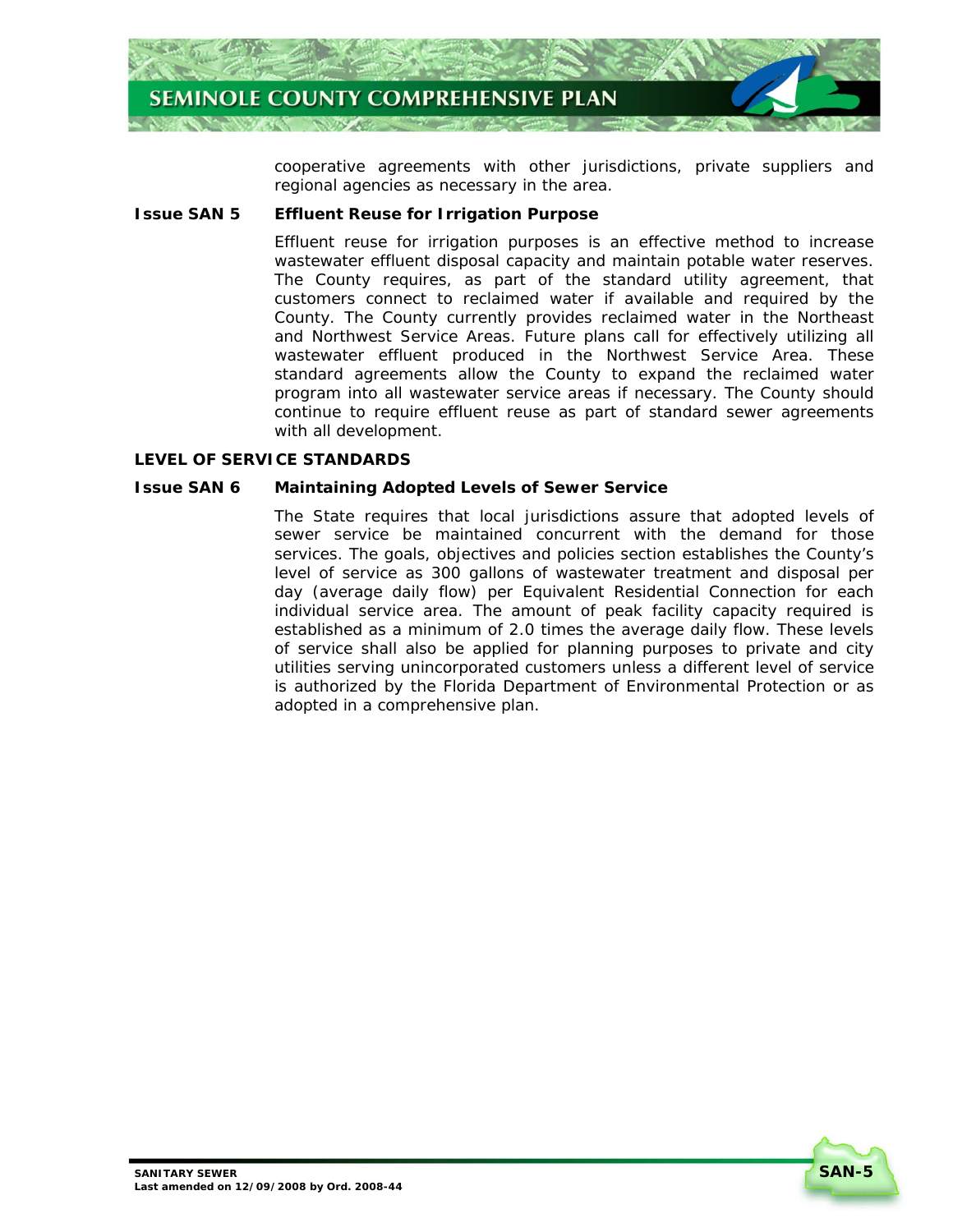

cooperative agreements with other jurisdictions, private suppliers and regional agencies as necessary in the area.

#### **Issue SAN 5 Effluent Reuse for Irrigation Purpose**

Effluent reuse for irrigation purposes is an effective method to increase wastewater effluent disposal capacity and maintain potable water reserves. The County requires, as part of the standard utility agreement, that customers connect to reclaimed water if available and required by the County. The County currently provides reclaimed water in the Northeast and Northwest Service Areas. Future plans call for effectively utilizing all wastewater effluent produced in the Northwest Service Area. These standard agreements allow the County to expand the reclaimed water program into all wastewater service areas if necessary. The County should continue to require effluent reuse as part of standard sewer agreements with all development.

#### **LEVEL OF SERVICE STANDARDS**

#### **Issue SAN 6 Maintaining Adopted Levels of Sewer Service**

The State requires that local jurisdictions assure that adopted levels of sewer service be maintained concurrent with the demand for those services. The goals, objectives and policies section establishes the County's level of service as 300 gallons of wastewater treatment and disposal per day (average daily flow) per Equivalent Residential Connection for each individual service area. The amount of peak facility capacity required is established as a minimum of 2.0 times the average daily flow. These levels of service shall also be applied for planning purposes to private and city utilities serving unincorporated customers unless a different level of service is authorized by the Florida Department of Environmental Protection or as adopted in a comprehensive plan.

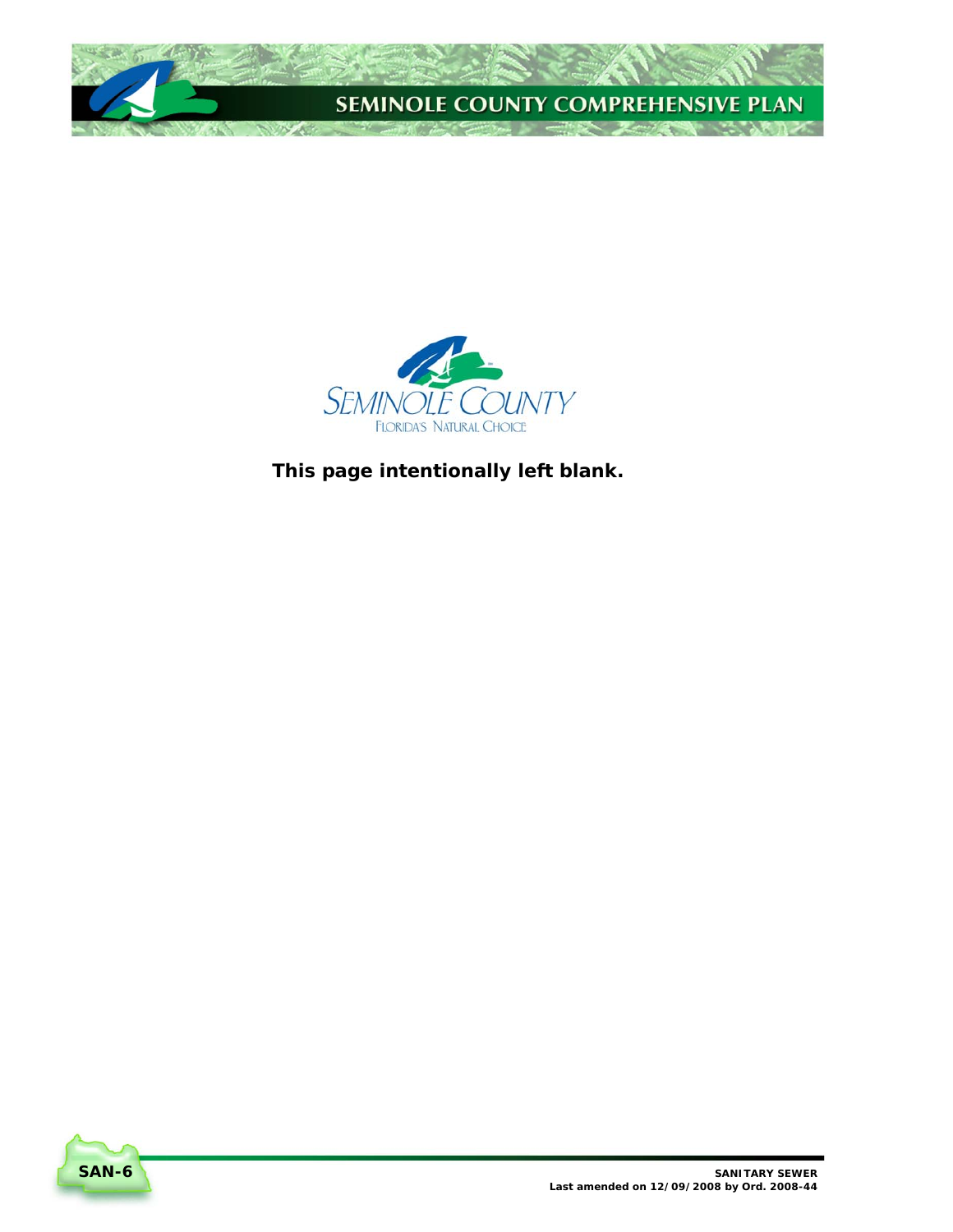



**This page intentionally left blank.** 

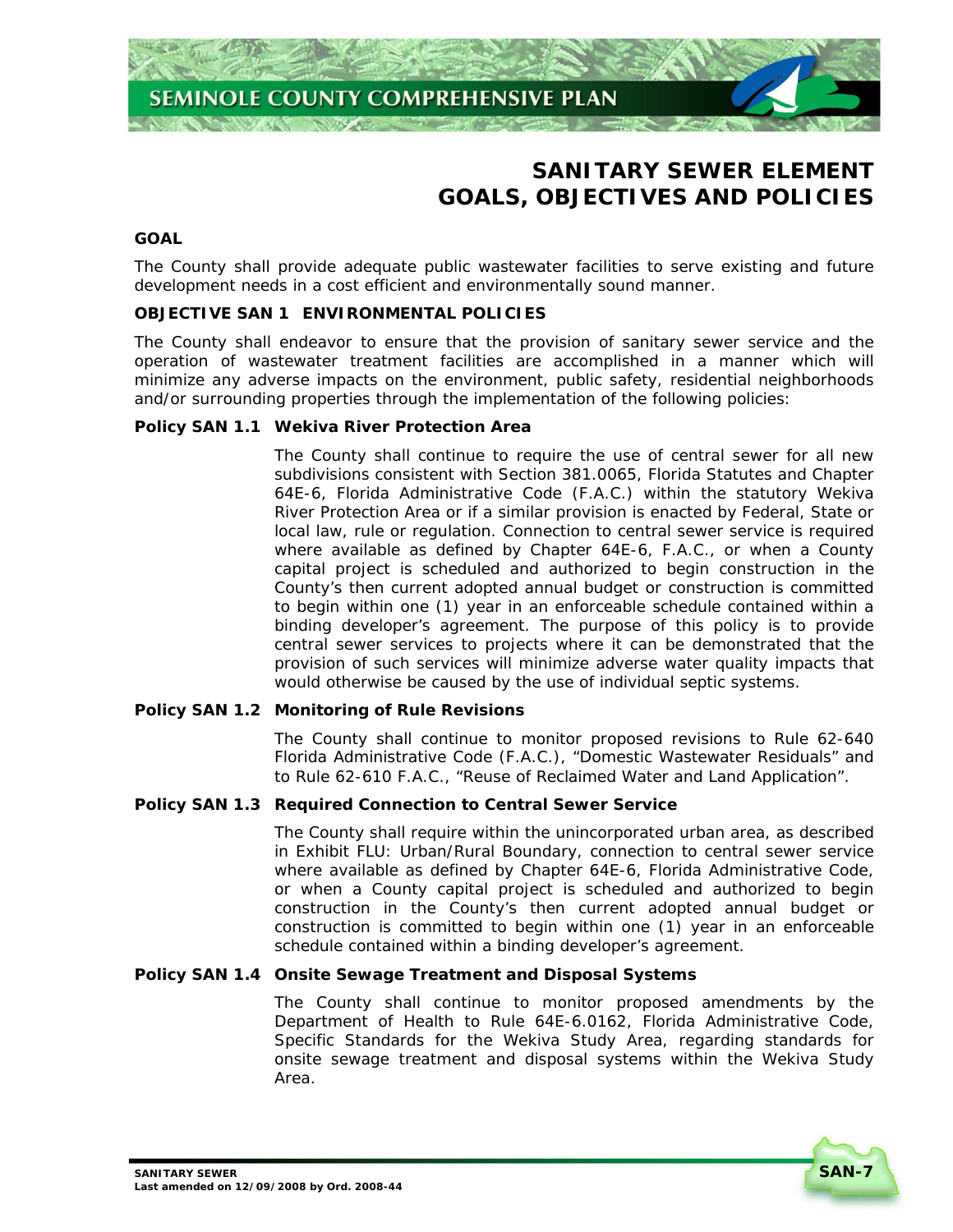# **SANITARY SEWER ELEMENT GOALS, OBJECTIVES AND POLICIES**

# **GOAL**

The County shall provide adequate public wastewater facilities to serve existing and future development needs in a cost efficient and environmentally sound manner.

#### **OBJECTIVE SAN 1 ENVIRONMENTAL POLICIES**

The County shall endeavor to ensure that the provision of sanitary sewer service and the operation of wastewater treatment facilities are accomplished in a manner which will minimize any adverse impacts on the environment, public safety, residential neighborhoods and/or surrounding properties through the implementation of the following policies:

#### **Policy SAN 1.1 Wekiva River Protection Area**

The County shall continue to require the use of central sewer for all new subdivisions consistent with Section 381.0065, Florida Statutes and Chapter 64E-6, Florida Administrative Code (F.A.C.) within the statutory Wekiva River Protection Area or if a similar provision is enacted by Federal, State or local law, rule or regulation. Connection to central sewer service is required where available as defined by Chapter 64E-6, F.A.C., or when a County capital project is scheduled and authorized to begin construction in the County's then current adopted annual budget or construction is committed to begin within one (1) year in an enforceable schedule contained within a binding developer's agreement. The purpose of this policy is to provide central sewer services to projects where it can be demonstrated that the provision of such services will minimize adverse water quality impacts that would otherwise be caused by the use of individual septic systems.

# **Policy SAN 1.2 Monitoring of Rule Revisions**

The County shall continue to monitor proposed revisions to Rule 62-640 Florida Administrative Code (F.A.C.), "Domestic Wastewater Residuals" and to Rule 62-610 F.A.C., "Reuse of Reclaimed Water and Land Application".

# **Policy SAN 1.3 Required Connection to Central Sewer Service**

The County shall require within the unincorporated urban area, as described in *Exhibit FLU: Urban/Rural Boundary*, connection to central sewer service where available as defined by Chapter 64E-6, Florida Administrative Code, or when a County capital project is scheduled and authorized to begin construction in the County's then current adopted annual budget or construction is committed to begin within one (1) year in an enforceable schedule contained within a binding developer's agreement.

# **Policy SAN 1.4 Onsite Sewage Treatment and Disposal Systems**

The County shall continue to monitor proposed amendments by the Department of Health to Rule 64E-6.0162, Florida Administrative Code, Specific Standards for the Wekiva Study Area, regarding standards for onsite sewage treatment and disposal systems within the Wekiva Study Area.

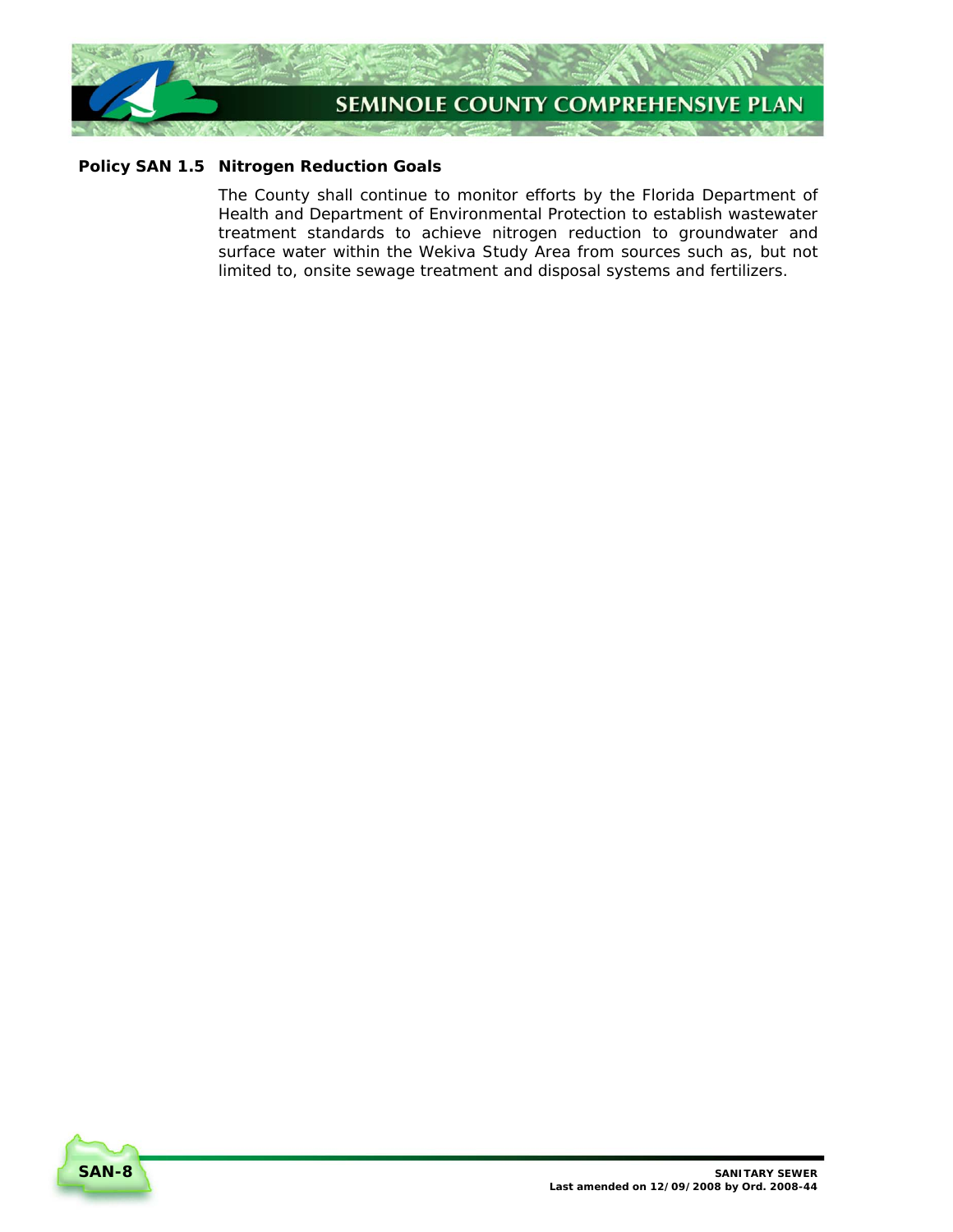

# **Policy SAN 1.5 Nitrogen Reduction Goals**

The County shall continue to monitor efforts by the Florida Department of Health and Department of Environmental Protection to establish wastewater treatment standards to achieve nitrogen reduction to groundwater and surface water within the Wekiva Study Area from sources such as, but not limited to, onsite sewage treatment and disposal systems and fertilizers.

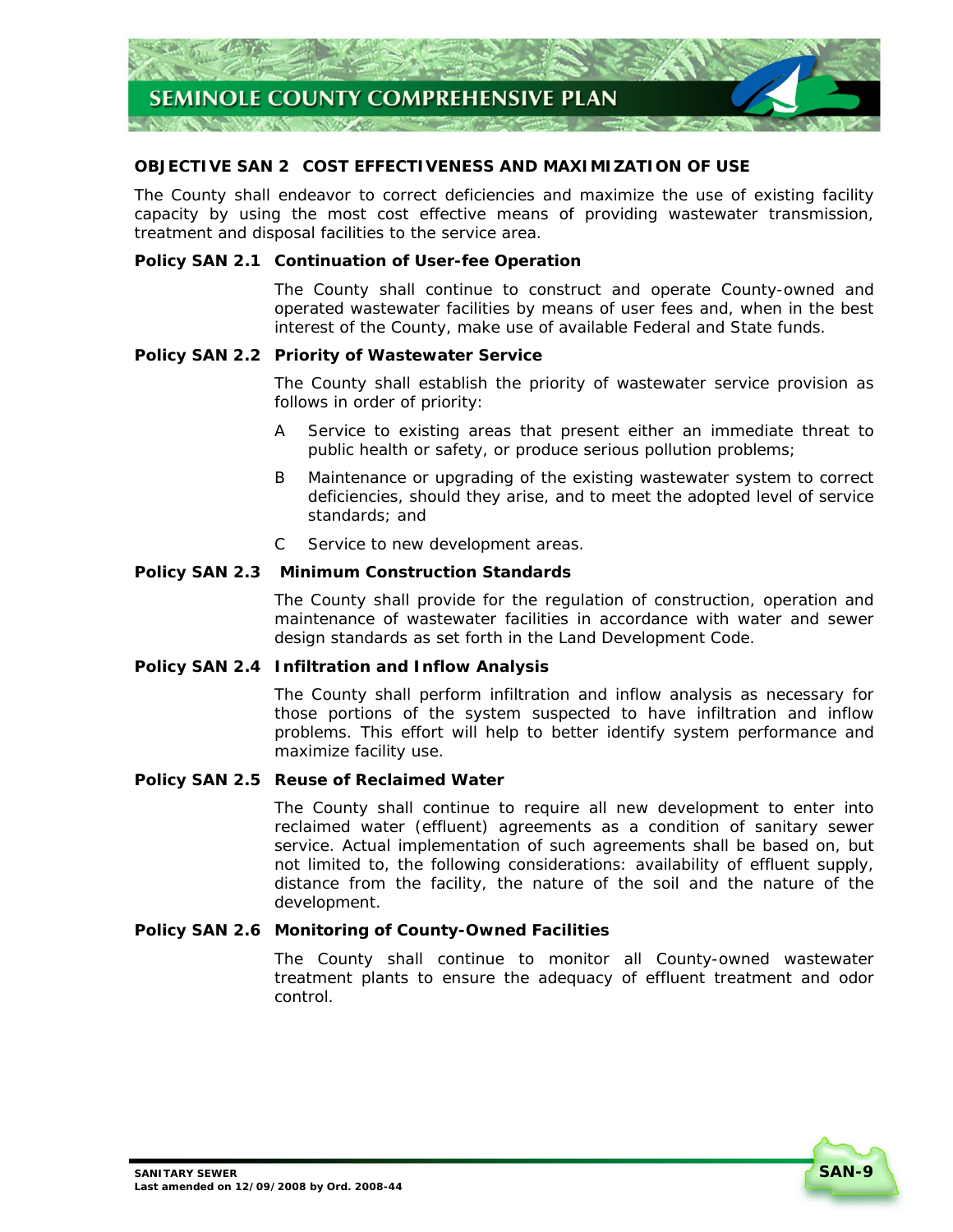

#### **OBJECTIVE SAN 2 COST EFFECTIVENESS AND MAXIMIZATION OF USE**

The County shall endeavor to correct deficiencies and maximize the use of existing facility capacity by using the most cost effective means of providing wastewater transmission, treatment and disposal facilities to the service area.

#### **Policy SAN 2.1 Continuation of User-fee Operation**

The County shall continue to construct and operate County-owned and operated wastewater facilities by means of user fees and, when in the best interest of the County, make use of available Federal and State funds.

#### **Policy SAN 2.2 Priority of Wastewater Service**

The County shall establish the priority of wastewater service provision as follows in order of priority:

- A Service to existing areas that present either an immediate threat to public health or safety, or produce serious pollution problems;
- B Maintenance or upgrading of the existing wastewater system to correct deficiencies, should they arise, and to meet the adopted level of service standards; and
- C Service to new development areas.

# **Policy SAN 2.3 Minimum Construction Standards**

The County shall provide for the regulation of construction, operation and maintenance of wastewater facilities in accordance with water and sewer design standards as set forth in the Land Development Code.

#### **Policy SAN 2.4 Infiltration and Inflow Analysis**

The County shall perform infiltration and inflow analysis as necessary for those portions of the system suspected to have infiltration and inflow problems. This effort will help to better identify system performance and maximize facility use.

# **Policy SAN 2.5 Reuse of Reclaimed Water**

The County shall continue to require all new development to enter into reclaimed water (effluent) agreements as a condition of sanitary sewer service. Actual implementation of such agreements shall be based on, but not limited to, the following considerations: availability of effluent supply, distance from the facility, the nature of the soil and the nature of the development.

# **Policy SAN 2.6 Monitoring of County-Owned Facilities**

The County shall continue to monitor all County-owned wastewater treatment plants to ensure the adequacy of effluent treatment and odor control.

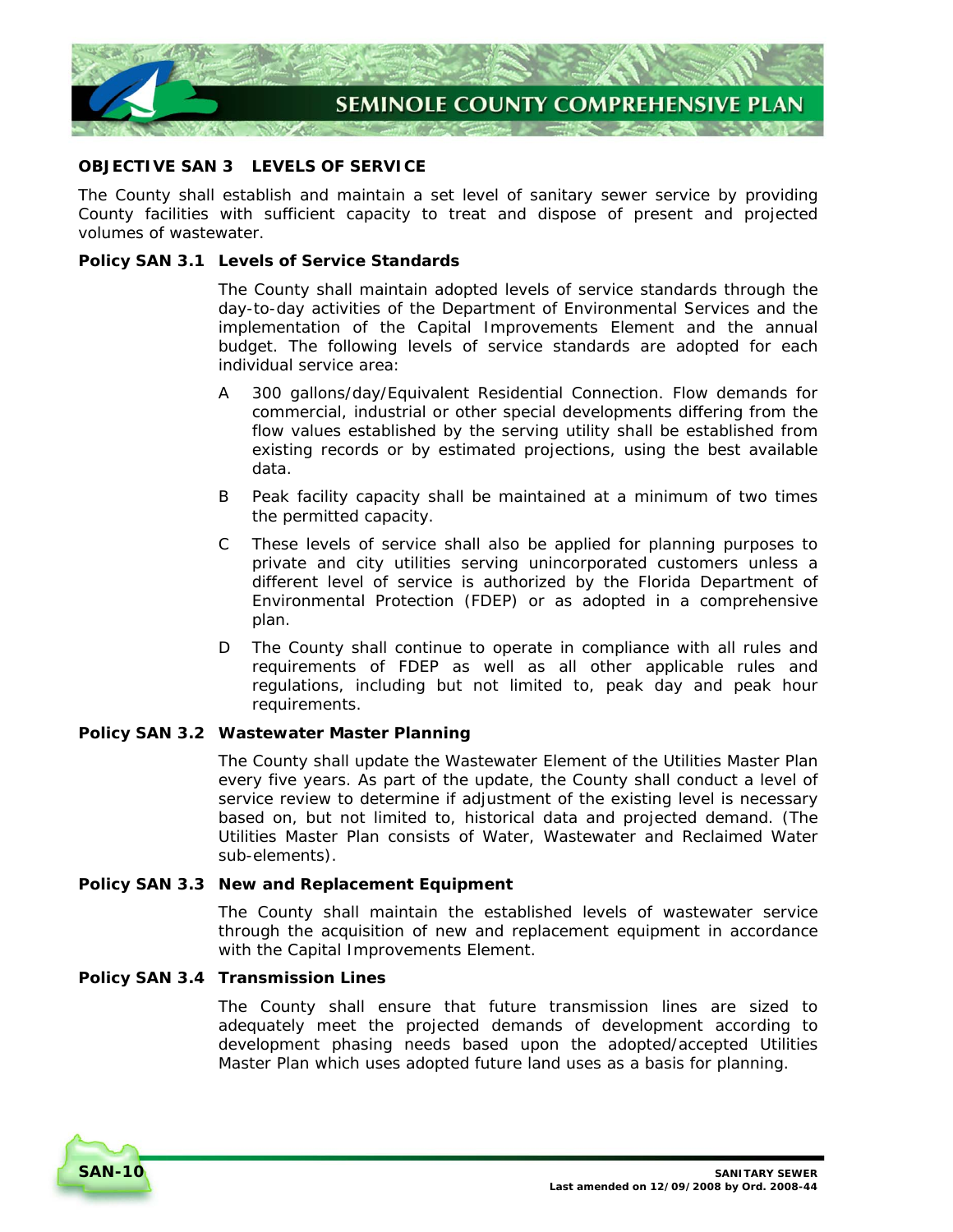

# **OBJECTIVE SAN 3 LEVELS OF SERVICE**

The County shall establish and maintain a set level of sanitary sewer service by providing County facilities with sufficient capacity to treat and dispose of present and projected volumes of wastewater.

# **Policy SAN 3.1 Levels of Service Standards**

The County shall maintain adopted levels of service standards through the day-to-day activities of the Department of Environmental Services and the implementation of the Capital Improvements Element and the annual budget. The following levels of service standards are adopted for each individual service area:

- A 300 gallons/day/Equivalent Residential Connection. Flow demands for commercial, industrial or other special developments differing from the flow values established by the serving utility shall be established from existing records or by estimated projections, using the best available data.
- B Peak facility capacity shall be maintained at a minimum of two times the permitted capacity.
- C These levels of service shall also be applied for planning purposes to private and city utilities serving unincorporated customers unless a different level of service is authorized by the Florida Department of Environmental Protection (FDEP) or as adopted in a comprehensive plan.
- D The County shall continue to operate in compliance with all rules and requirements of FDEP as well as all other applicable rules and regulations, including but not limited to, peak day and peak hour requirements.

# **Policy SAN 3.2 Wastewater Master Planning**

The County shall update the Wastewater Element of the Utilities Master Plan every five years. As part of the update, the County shall conduct a level of service review to determine if adjustment of the existing level is necessary based on, but not limited to, historical data and projected demand. (The Utilities Master Plan consists of Water, Wastewater and Reclaimed Water sub-elements).

#### **Policy SAN 3.3 New and Replacement Equipment**

The County shall maintain the established levels of wastewater service through the acquisition of new and replacement equipment in accordance with the Capital Improvements Element.

#### **Policy SAN 3.4 Transmission Lines**

The County shall ensure that future transmission lines are sized to adequately meet the projected demands of development according to development phasing needs based upon the adopted/accepted Utilities Master Plan which uses adopted future land uses as a basis for planning.

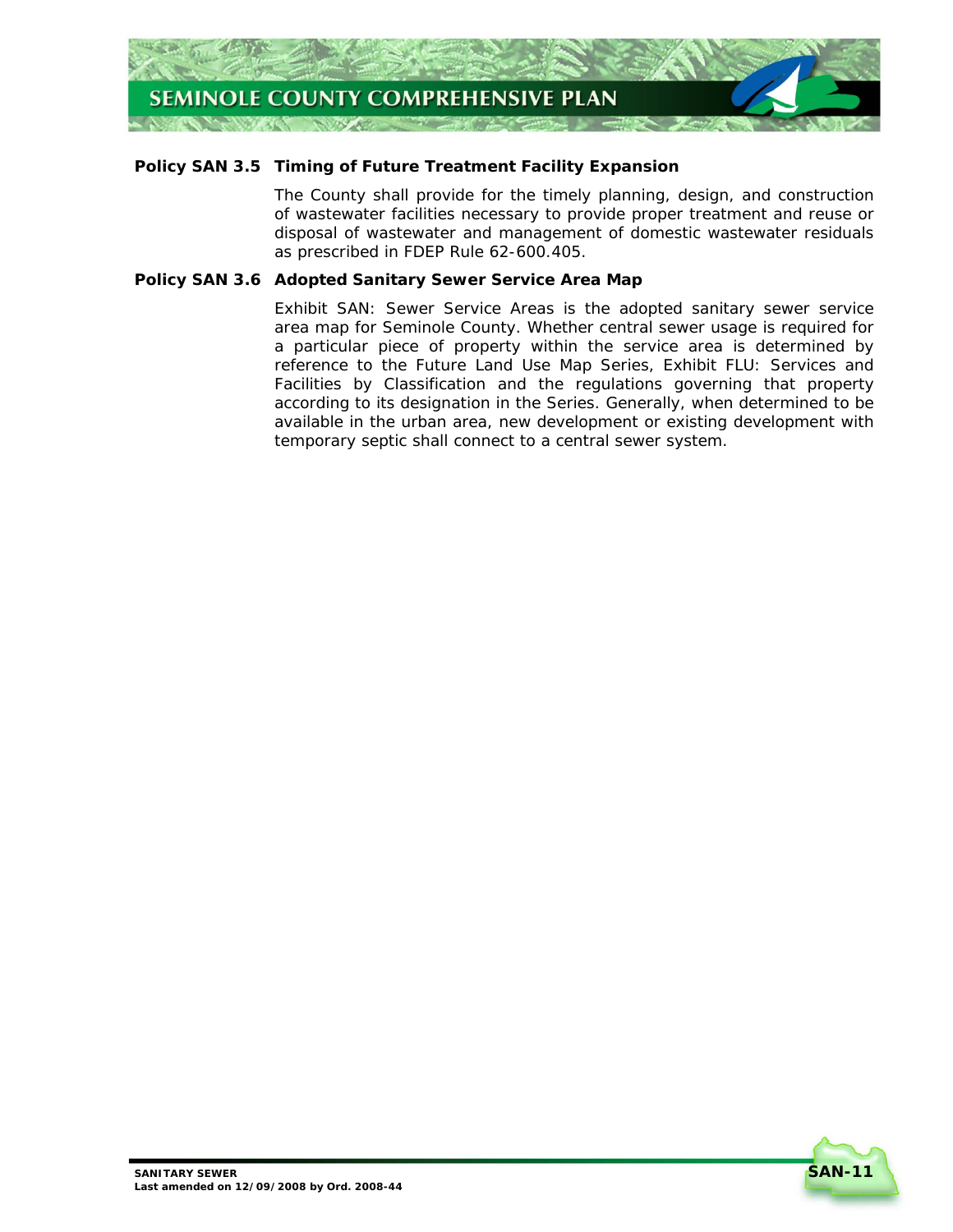

# **Policy SAN 3.5 Timing of Future Treatment Facility Expansion**

The County shall provide for the timely planning, design, and construction of wastewater facilities necessary to provide proper treatment and reuse or disposal of wastewater and management of domestic wastewater residuals as prescribed in FDEP Rule 62-600.405.

#### **Policy SAN 3.6 Adopted Sanitary Sewer Service Area Map**

*Exhibit SAN: Sewer Service Areas* is the adopted sanitary sewer service area map for Seminole County. Whether central sewer usage is required for a particular piece of property within the service area is determined by reference to the Future Land Use Map Series, *Exhibit FLU: Services and Facilities by Classification* and the regulations governing that property according to its designation in the Series. Generally, when determined to be available in the urban area, new development or existing development with temporary septic shall connect to a central sewer system.

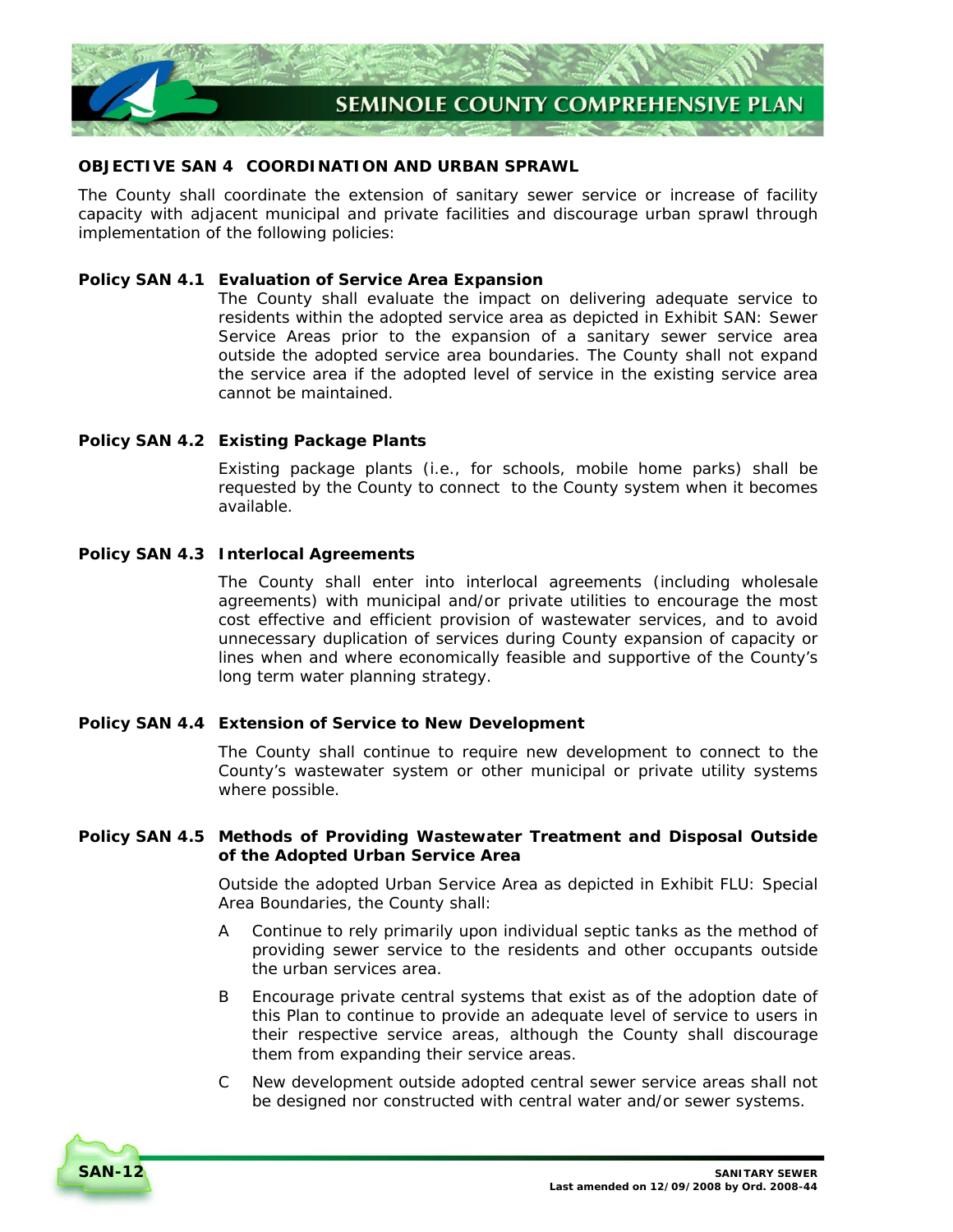

# **OBJECTIVE SAN 4 COORDINATION AND URBAN SPRAWL**

The County shall coordinate the extension of sanitary sewer service or increase of facility capacity with adjacent municipal and private facilities and discourage urban sprawl through implementation of the following policies:

# **Policy SAN 4.1 Evaluation of Service Area Expansion**

The County shall evaluate the impact on delivering adequate service to residents within the adopted service area as depicted in *Exhibit SAN: Sewer Service Areas* prior to the expansion of a sanitary sewer service area outside the adopted service area boundaries. The County shall not expand the service area if the adopted level of service in the existing service area cannot be maintained.

# **Policy SAN 4.2 Existing Package Plants**

Existing package plants (i.e., for schools, mobile home parks) shall be requested by the County to connect to the County system when it becomes available.

#### **Policy SAN 4.3 Interlocal Agreements**

The County shall enter into interlocal agreements (including wholesale agreements) with municipal and/or private utilities to encourage the most cost effective and efficient provision of wastewater services, and to avoid unnecessary duplication of services during County expansion of capacity or lines when and where economically feasible and supportive of the County's long term water planning strategy.

# **Policy SAN 4.4 Extension of Service to New Development**

The County shall continue to require new development to connect to the County's wastewater system or other municipal or private utility systems where possible.

#### **Policy SAN 4.5 Methods of Providing Wastewater Treatment and Disposal Outside of the Adopted Urban Service Area**

Outside the adopted Urban Service Area as depicted in *Exhibit FLU: Special Area Boundaries,* the County shall:

- A Continue to rely primarily upon individual septic tanks as the method of providing sewer service to the residents and other occupants outside the urban services area.
- B Encourage private central systems that exist as of the adoption date of this Plan to continue to provide an adequate level of service to users in their respective service areas, although the County shall discourage them from expanding their service areas.
- C New development outside adopted central sewer service areas shall not be designed nor constructed with central water and/or sewer systems.

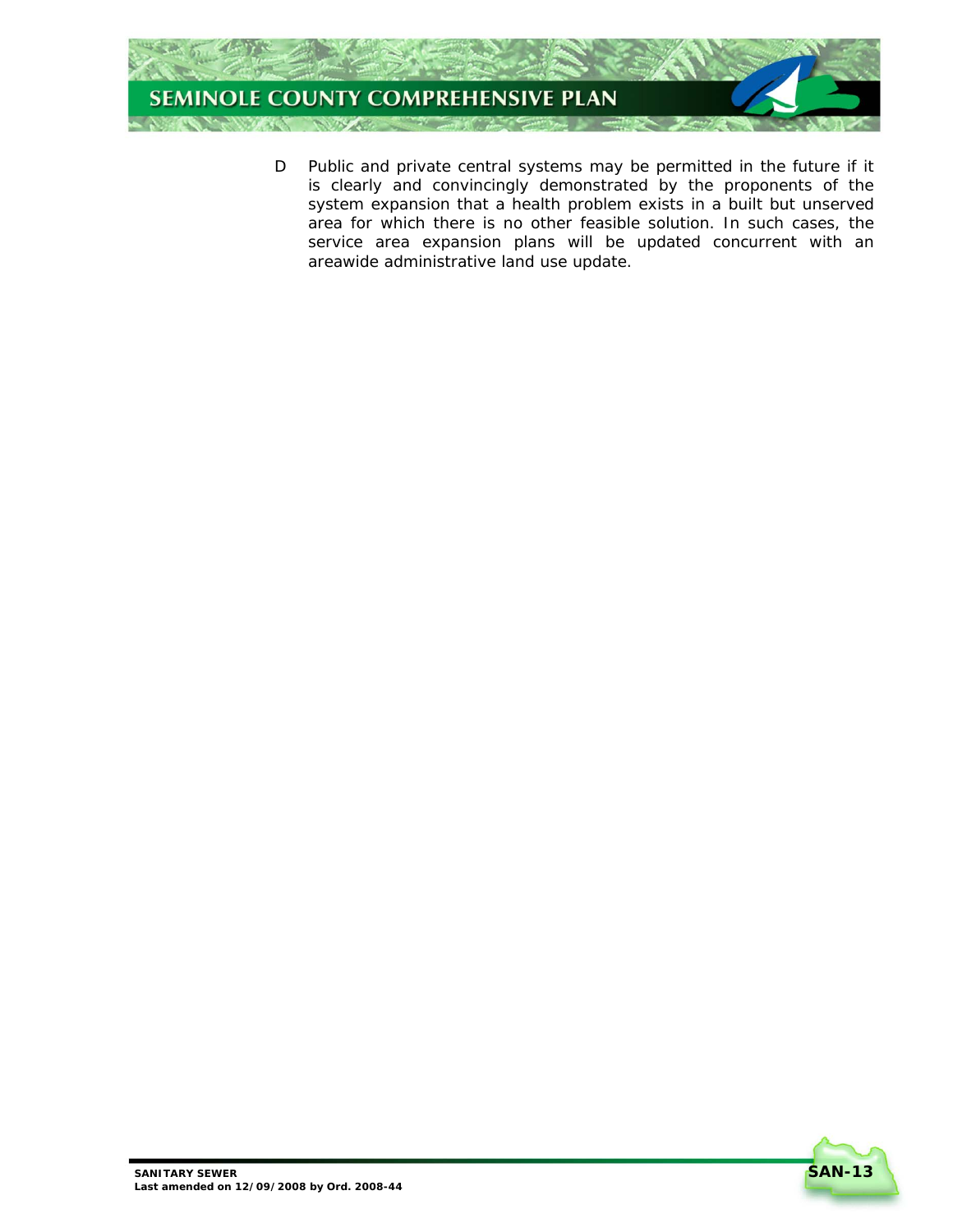

D Public and private central systems may be permitted in the future if it is clearly and convincingly demonstrated by the proponents of the system expansion that a health problem exists in a built but unserved area for which there is no other feasible solution. In such cases, the service area expansion plans will be updated concurrent with an areawide administrative land use update.